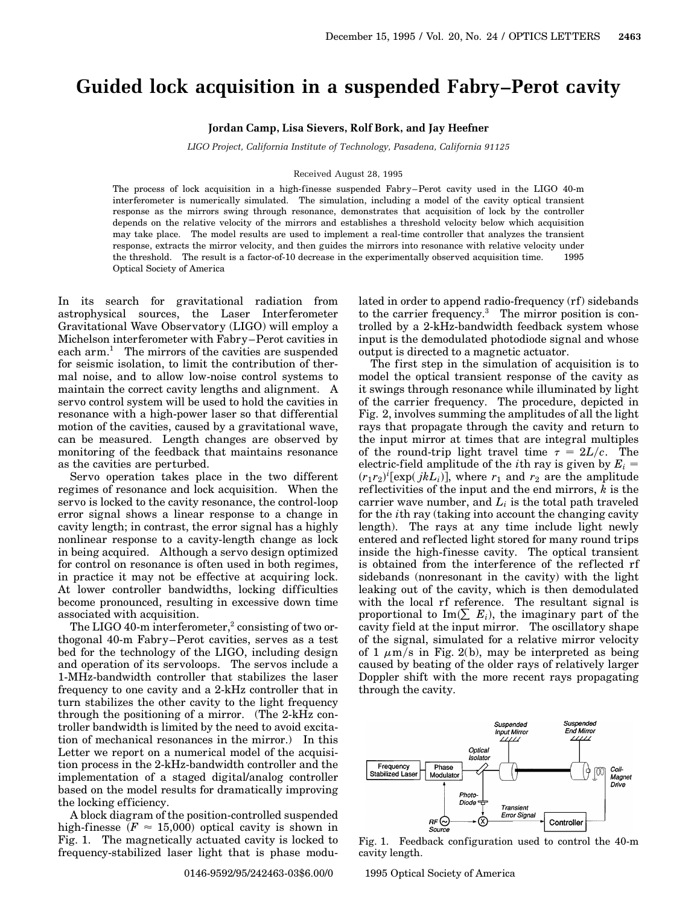## **Guided lock acquisition in a suspended Fabry–Perot cavity**

**Jordan Camp, Lisa Sievers, Rolf Bork, and Jay Heefner**

*LIGO Project, California Institute of Technology, Pasadena, California 91125*

## Received August 28, 1995

The process of lock acquisition in a high-finesse suspended Fabry–Perot cavity used in the LIGO 40-m interferometer is numerically simulated. The simulation, including a model of the cavity optical transient response as the mirrors swing through resonance, demonstrates that acquisition of lock by the controller depends on the relative velocity of the mirrors and establishes a threshold velocity below which acquisition may take place. The model results are used to implement a real-time controller that analyzes the transient response, extracts the mirror velocity, and then guides the mirrors into resonance with relative velocity under the threshold. The result is a factor-of-10 decrease in the experimentally observed acquisition time.  $\circ$  1995 Optical Society of America

In its search for gravitational radiation from astrophysical sources, the Laser Interferometer Gravitational Wave Observatory (LIGO) will employ a Michelson interferometer with Fabry–Perot cavities in each arm.<sup>1</sup> The mirrors of the cavities are suspended for seismic isolation, to limit the contribution of thermal noise, and to allow low-noise control systems to maintain the correct cavity lengths and alignment. A servo control system will be used to hold the cavities in resonance with a high-power laser so that differential motion of the cavities, caused by a gravitational wave, can be measured. Length changes are observed by monitoring of the feedback that maintains resonance as the cavities are perturbed.

Servo operation takes place in the two different regimes of resonance and lock acquisition. When the servo is locked to the cavity resonance, the control-loop error signal shows a linear response to a change in cavity length; in contrast, the error signal has a highly nonlinear response to a cavity-length change as lock in being acquired. Although a servo design optimized for control on resonance is often used in both regimes, in practice it may not be effective at acquiring lock. At lower controller bandwidths, locking difficulties become pronounced, resulting in excessive down time associated with acquisition.

The LIGO 40-m interferometer,<sup>2</sup> consisting of two orthogonal 40-m Fabry–Perot cavities, serves as a test bed for the technology of the LIGO, including design and operation of its servoloops. The servos include a 1-MHz-bandwidth controller that stabilizes the laser frequency to one cavity and a 2-kHz controller that in turn stabilizes the other cavity to the light frequency through the positioning of a mirror. (The 2-kHz controller bandwidth is limited by the need to avoid excitation of mechanical resonances in the mirror.) In this Letter we report on a numerical model of the acquisition process in the 2-kHz-bandwidth controller and the implementation of a staged digital/analog controller based on the model results for dramatically improving the locking efficiency.

A block diagram of the position-controlled suspended high-finesse  $(F \approx 15,000)$  optical cavity is shown in Fig. 1. The magnetically actuated cavity is locked to frequency-stabilized laser light that is phase modulated in order to append radio-frequency (rf) sidebands to the carrier frequency. $3$  The mirror position is controlled by a 2-kHz-bandwidth feedback system whose input is the demodulated photodiode signal and whose output is directed to a magnetic actuator.

The first step in the simulation of acquisition is to model the optical transient response of the cavity as it swings through resonance while illuminated by light of the carrier frequency. The procedure, depicted in Fig. 2, involves summing the amplitudes of all the light rays that propagate through the cavity and return to the input mirror at times that are integral multiples of the round-trip light travel time  $\tau = 2L/c$ . The electric-field amplitude of the *i*th ray is given by  $E_i =$  $(r_1r_2)^i$ [exp( $jkL_i$ ], where  $r_1$  and  $r_2$  are the amplitude ref lectivities of the input and the end mirrors, *k* is the carrier wave number, and  $L_i$  is the total path traveled for the *i*th ray (taking into account the changing cavity length). The rays at any time include light newly entered and reflected light stored for many round trips inside the high-finesse cavity. The optical transient is obtained from the interference of the reflected rf sidebands (nonresonant in the cavity) with the light leaking out of the cavity, which is then demodulated with the local rf reference. The resultant signal is proportional to  $\text{Im}(\sum E_i)$ , the imaginary part of the cavity field at the input mirror. The oscillatory shape of the signal, simulated for a relative mirror velocity of 1  $\mu$ m/s in Fig. 2(b), may be interpreted as being caused by beating of the older rays of relatively larger Doppler shift with the more recent rays propagating through the cavity.



Fig. 1. Feedback configuration used to control the 40-m cavity length.

0146-9592/95/242463-03\$6.00/0 © 1995 Optical Society of America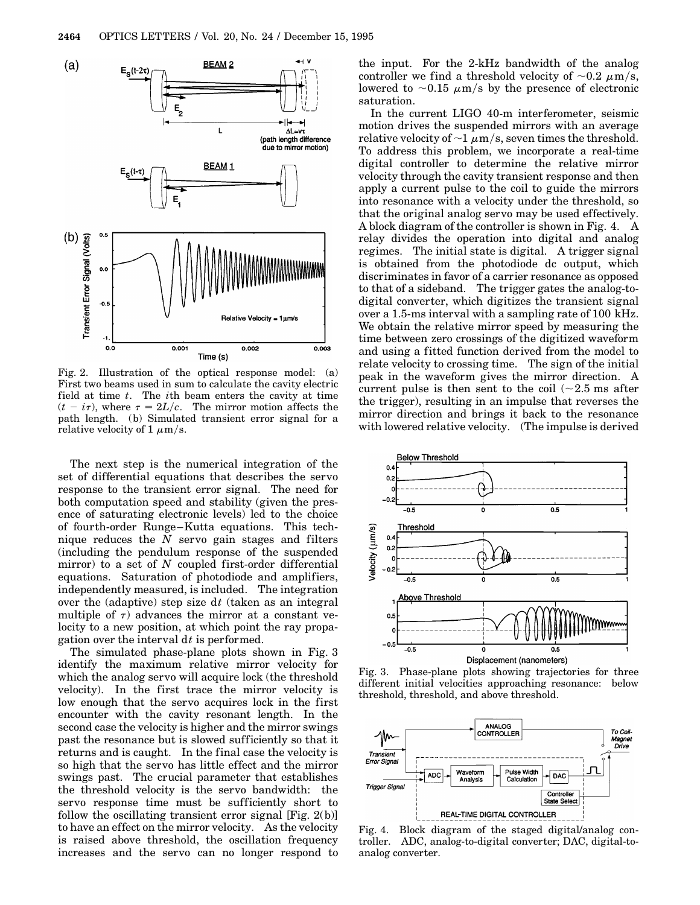

Fig. 2. Illustration of the optical response model: (a) First two beams used in sum to calculate the cavity electric field at time *t*. The *i*th beam enters the cavity at time  $(t - i\tau)$ , where  $\tau = 2L/c$ . The mirror motion affects the path length. (b) Simulated transient error signal for a relative velocity of 1  $\mu$ m/s.

The next step is the numerical integration of the set of differential equations that describes the servo response to the transient error signal. The need for both computation speed and stability (given the presence of saturating electronic levels) led to the choice of fourth-order Runge–Kutta equations. This technique reduces the *N* servo gain stages and filters (including the pendulum response of the suspended mirror) to a set of *N* coupled first-order differential equations. Saturation of photodiode and amplifiers, independently measured, is included. The integration over the (adaptive) step size d*t* (taken as an integral multiple of  $\tau$ ) advances the mirror at a constant velocity to a new position, at which point the ray propagation over the interval d*t* is performed.

The simulated phase-plane plots shown in Fig. 3 identify the maximum relative mirror velocity for which the analog servo will acquire lock (the threshold velocity). In the first trace the mirror velocity is low enough that the servo acquires lock in the first encounter with the cavity resonant length. In the second case the velocity is higher and the mirror swings past the resonance but is slowed sufficiently so that it returns and is caught. In the final case the velocity is so high that the servo has little effect and the mirror swings past. The crucial parameter that establishes the threshold velocity is the servo bandwidth: the servo response time must be sufficiently short to follow the oscillating transient error signal  $[Fig. 2(b)]$ to have an effect on the mirror velocity. As the velocity is raised above threshold, the oscillation frequency increases and the servo can no longer respond to

the input. For the 2-kHz bandwidth of the analog controller we find a threshold velocity of  $\sim 0.2 \mu m/s$ , lowered to  $\sim 0.15 \mu \text{m/s}$  by the presence of electronic saturation.

In the current LIGO 40-m interferometer, seismic motion drives the suspended mirrors with an average relative velocity of  $\sim$ 1  $\mu$ m/s, seven times the threshold. To address this problem, we incorporate a real-time digital controller to determine the relative mirror velocity through the cavity transient response and then apply a current pulse to the coil to guide the mirrors into resonance with a velocity under the threshold, so that the original analog servo may be used effectively. A block diagram of the controller is shown in Fig. 4. A relay divides the operation into digital and analog regimes. The initial state is digital. A trigger signal is obtained from the photodiode dc output, which discriminates in favor of a carrier resonance as opposed to that of a sideband. The trigger gates the analog-todigital converter, which digitizes the transient signal over a 1.5-ms interval with a sampling rate of 100 kHz. We obtain the relative mirror speed by measuring the time between zero crossings of the digitized waveform and using a fitted function derived from the model to relate velocity to crossing time. The sign of the initial peak in the waveform gives the mirror direction. A current pulse is then sent to the coil  $(\sim 2.5 \text{ ms after})$ the trigger), resulting in an impulse that reverses the mirror direction and brings it back to the resonance with lowered relative velocity. (The impulse is derived



Fig. 3. Phase-plane plots showing trajectories for three different initial velocities approaching resonance: below threshold, threshold, and above threshold.



Fig. 4. Block diagram of the staged digital/analog controller. ADC, analog-to-digital converter; DAC, digital-toanalog converter.